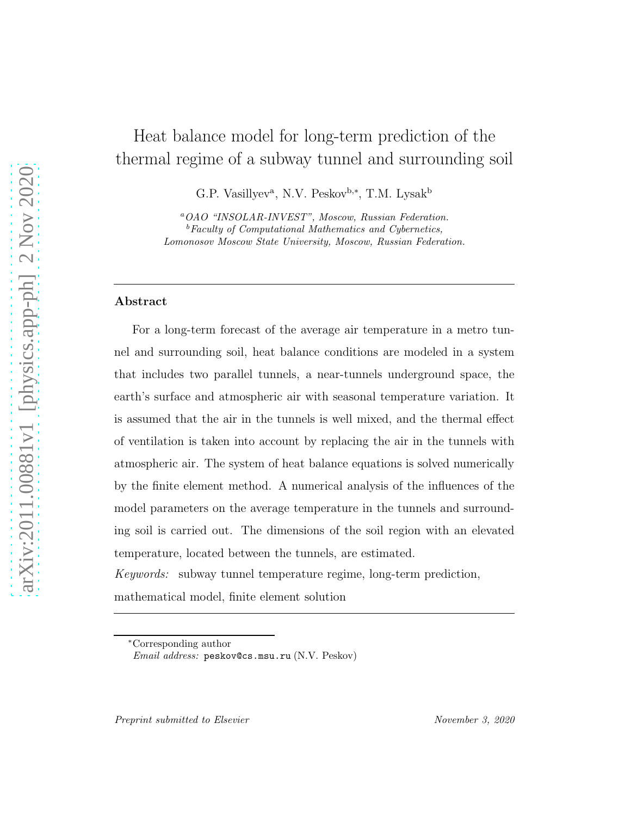# Heat balance model for long-term prediction of the thermal regime of a subway tunnel and surrounding soil

G.P. Vasillyev<sup>a</sup>, N.V. Peskov<sup>b,\*</sup>, T.M. Lysak<sup>b</sup>

<sup>a</sup>*OAO "INSOLAR-INVEST", Moscow, Russian Federation.* <sup>b</sup>*Faculty of Computational Mathematics and Cybernetics, Lomonosov Moscow State University, Moscow, Russian Federation.*

#### Abstract

For a long-term forecast of the average air temperature in a metro tunnel and surrounding soil, heat balance conditions are modeled in a system that includes two parallel tunnels, a near-tunnels underground space, the earth's surface and atmospheric air with seasonal temperature variation. It is assumed that the air in the tunnels is well mixed, and the thermal effect of ventilation is taken into account by replacing the air in the tunnels with atmospheric air. The system of heat balance equations is solved numerically by the finite element method. A numerical analysis of the influences of the model parameters on the average temperature in the tunnels and surrounding soil is carried out. The dimensions of the soil region with an elevated temperature, located between the tunnels, are estimated.

*Keywords:* subway tunnel temperature regime, long-term prediction,

mathematical model, finite element solution

<sup>∗</sup>Corresponding author *Email address:* peskov@cs.msu.ru (N.V. Peskov)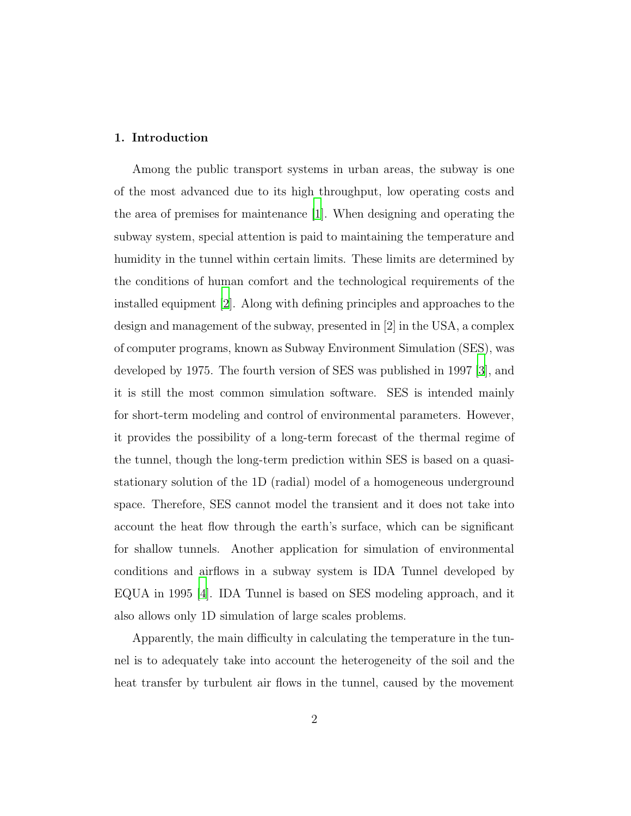#### 1. Introduction

Among the public transport systems in urban areas, the subway is one of the most advanced due to its high throughput, low operating costs and the area of premises for maintenance [\[1](#page-25-0)]. When designing and operating the subway system, special attention is paid to maintaining the temperature and humidity in the tunnel within certain limits. These limits are determined by the conditions of human comfort and the technological requirements of the installed equipment [\[2](#page-25-1)]. Along with defining principles and approaches to the design and management of the subway, presented in [2] in the USA, a complex of computer programs, known as Subway Environment Simulation (SES), was developed by 1975. The fourth version of SES was published in 1997 [\[3\]](#page-25-2), and it is still the most common simulation software. SES is intended mainly for short-term modeling and control of environmental parameters. However, it provides the possibility of a long-term forecast of the thermal regime of the tunnel, though the long-term prediction within SES is based on a quasistationary solution of the 1D (radial) model of a homogeneous underground space. Therefore, SES cannot model the transient and it does not take into account the heat flow through the earth's surface, which can be significant for shallow tunnels. Another application for simulation of environmental conditions and airflows in a subway system is IDA Tunnel developed by EQUA in 1995 [\[4](#page-25-3)]. IDA Tunnel is based on SES modeling approach, and it also allows only 1D simulation of large scales problems.

Apparently, the main difficulty in calculating the temperature in the tunnel is to adequately take into account the heterogeneity of the soil and the heat transfer by turbulent air flows in the tunnel, caused by the movement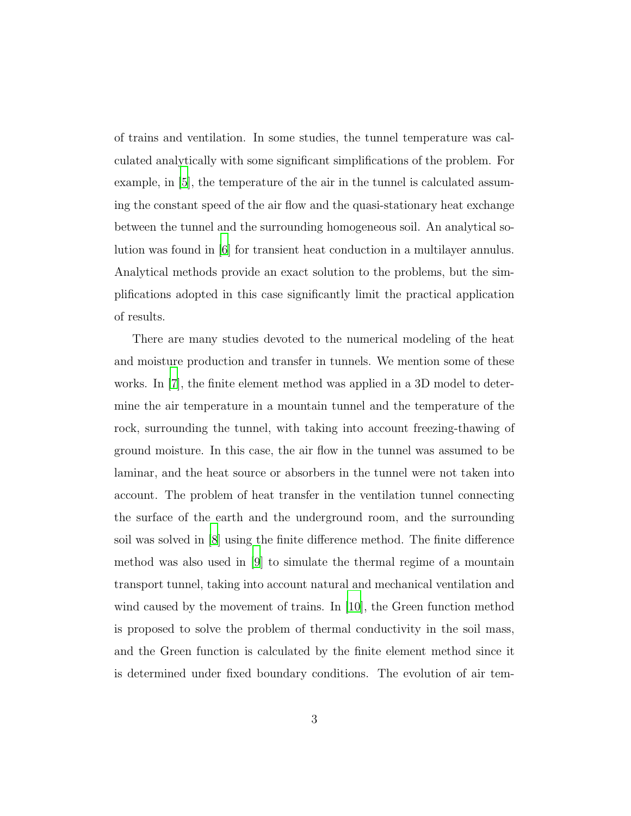of trains and ventilation. In some studies, the tunnel temperature was calculated analytically with some significant simplifications of the problem. For example, in [\[5](#page-25-4)], the temperature of the air in the tunnel is calculated assuming the constant speed of the air flow and the quasi-stationary heat exchange between the tunnel and the surrounding homogeneous soil. An analytical solution was found in [\[6](#page-25-5)] for transient heat conduction in a multilayer annulus. Analytical methods provide an exact solution to the problems, but the simplifications adopted in this case significantly limit the practical application of results.

There are many studies devoted to the numerical modeling of the heat and moisture production and transfer in tunnels. We mention some of these works. In [\[7\]](#page-25-6), the finite element method was applied in a 3D model to determine the air temperature in a mountain tunnel and the temperature of the rock, surrounding the tunnel, with taking into account freezing-thawing of ground moisture. In this case, the air flow in the tunnel was assumed to be laminar, and the heat source or absorbers in the tunnel were not taken into account. The problem of heat transfer in the ventilation tunnel connecting the surface of the earth and the underground room, and the surrounding soil was solved in [\[8](#page-26-0)] using the finite difference method. The finite difference method was also used in [\[9\]](#page-26-1) to simulate the thermal regime of a mountain transport tunnel, taking into account natural and mechanical ventilation and wind caused by the movement of trains. In [\[10\]](#page-26-2), the Green function method is proposed to solve the problem of thermal conductivity in the soil mass, and the Green function is calculated by the finite element method since it is determined under fixed boundary conditions. The evolution of air tem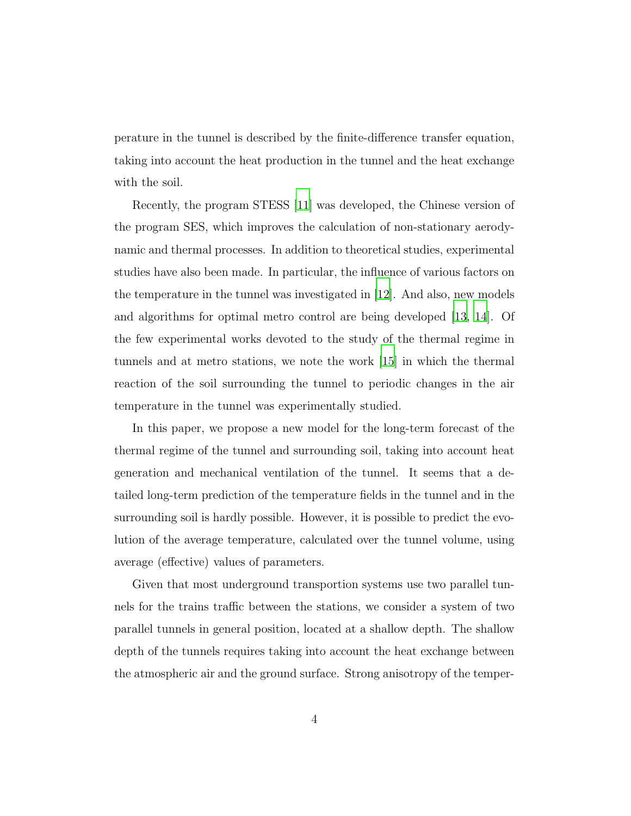perature in the tunnel is described by the finite-difference transfer equation, taking into account the heat production in the tunnel and the heat exchange with the soil.

Recently, the program STESS [\[11](#page-26-3)] was developed, the Chinese version of the program SES, which improves the calculation of non-stationary aerodynamic and thermal processes. In addition to theoretical studies, experimental studies have also been made. In particular, the influence of various factors on the temperature in the tunnel was investigated in [\[12](#page-26-4)]. And also, new models and algorithms for optimal metro control are being developed [\[13](#page-26-5), [14\]](#page-27-0). Of the few experimental works devoted to the study of the thermal regime in tunnels and at metro stations, we note the work [\[15\]](#page-27-1) in which the thermal reaction of the soil surrounding the tunnel to periodic changes in the air temperature in the tunnel was experimentally studied.

In this paper, we propose a new model for the long-term forecast of the thermal regime of the tunnel and surrounding soil, taking into account heat generation and mechanical ventilation of the tunnel. It seems that a detailed long-term prediction of the temperature fields in the tunnel and in the surrounding soil is hardly possible. However, it is possible to predict the evolution of the average temperature, calculated over the tunnel volume, using average (effective) values of parameters.

Given that most underground transportion systems use two parallel tunnels for the trains traffic between the stations, we consider a system of two parallel tunnels in general position, located at a shallow depth. The shallow depth of the tunnels requires taking into account the heat exchange between the atmospheric air and the ground surface. Strong anisotropy of the temper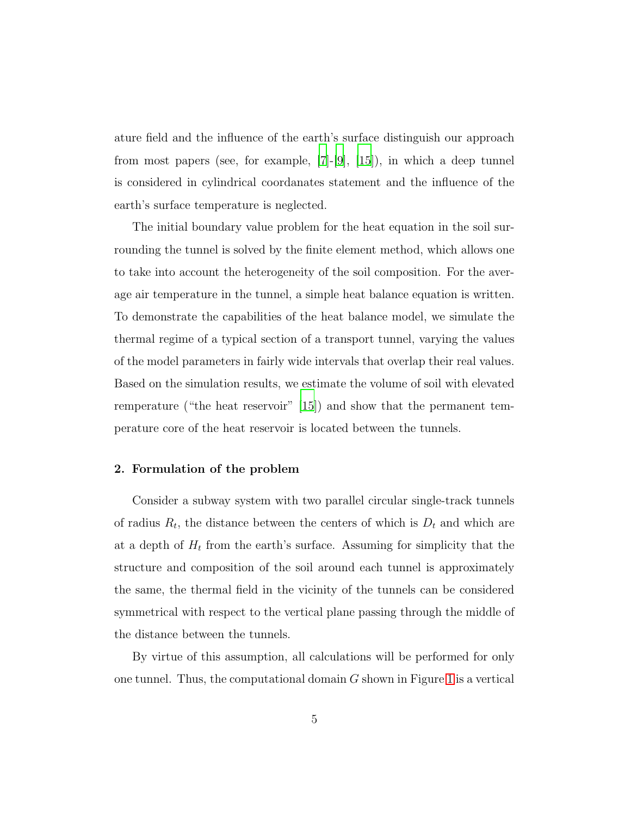ature field and the influence of the earth's surface distinguish our approach from most papers (see, for example,  $[7]-[9]$  $[7]-[9]$ ,  $[15]$ ), in which a deep tunnel is considered in cylindrical coordanates statement and the influence of the earth's surface temperature is neglected.

The initial boundary value problem for the heat equation in the soil surrounding the tunnel is solved by the finite element method, which allows one to take into account the heterogeneity of the soil composition. For the average air temperature in the tunnel, a simple heat balance equation is written. To demonstrate the capabilities of the heat balance model, we simulate the thermal regime of a typical section of a transport tunnel, varying the values of the model parameters in fairly wide intervals that overlap their real values. Based on the simulation results, we estimate the volume of soil with elevated remperature ("the heat reservoir" [\[15\]](#page-27-1)) and show that the permanent temperature core of the heat reservoir is located between the tunnels.

#### 2. Formulation of the problem

Consider a subway system with two parallel circular single-track tunnels of radius  $R_t$ , the distance between the centers of which is  $D_t$  and which are at a depth of  $H_t$  from the earth's surface. Assuming for simplicity that the structure and composition of the soil around each tunnel is approximately the same, the thermal field in the vicinity of the tunnels can be considered symmetrical with respect to the vertical plane passing through the middle of the distance between the tunnels.

By virtue of this assumption, all calculations will be performed for only one tunnel. Thus, the computational domain  $G$  shown in Figure [1](#page-5-0) is a vertical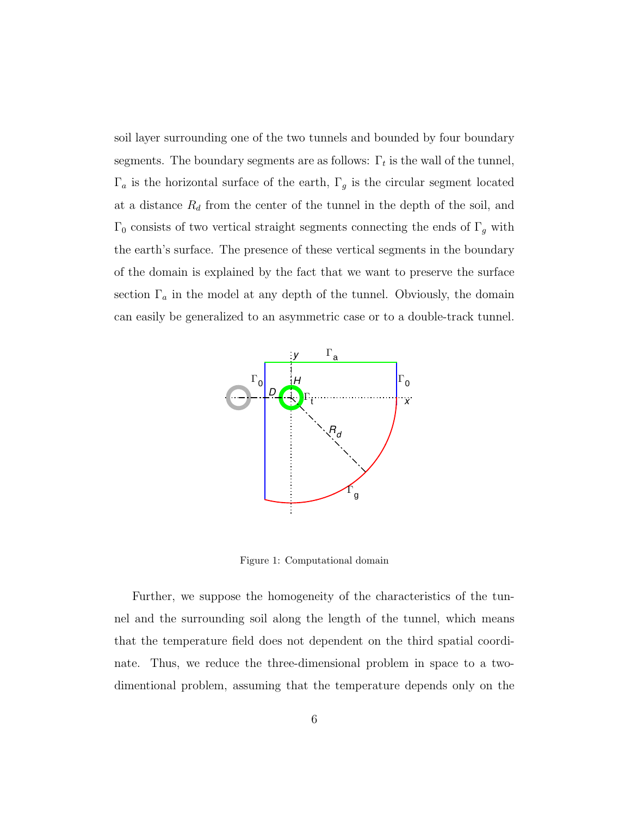soil layer surrounding one of the two tunnels and bounded by four boundary segments. The boundary segments are as follows:  $\Gamma_t$  is the wall of the tunnel, Γ<sup>a</sup> is the horizontal surface of the earth, Γ<sup>g</sup> is the circular segment located at a distance  $R_d$  from the center of the tunnel in the depth of the soil, and  $\Gamma_0$  consists of two vertical straight segments connecting the ends of  $\Gamma_g$  with the earth's surface. The presence of these vertical segments in the boundary of the domain is explained by the fact that we want to preserve the surface section  $\Gamma_a$  in the model at any depth of the tunnel. Obviously, the domain can easily be generalized to an asymmetric case or to a double-track tunnel.



<span id="page-5-0"></span>Figure 1: Computational domain

Further, we suppose the homogeneity of the characteristics of the tunnel and the surrounding soil along the length of the tunnel, which means that the temperature field does not dependent on the third spatial coordinate. Thus, we reduce the three-dimensional problem in space to a twodimentional problem, assuming that the temperature depends only on the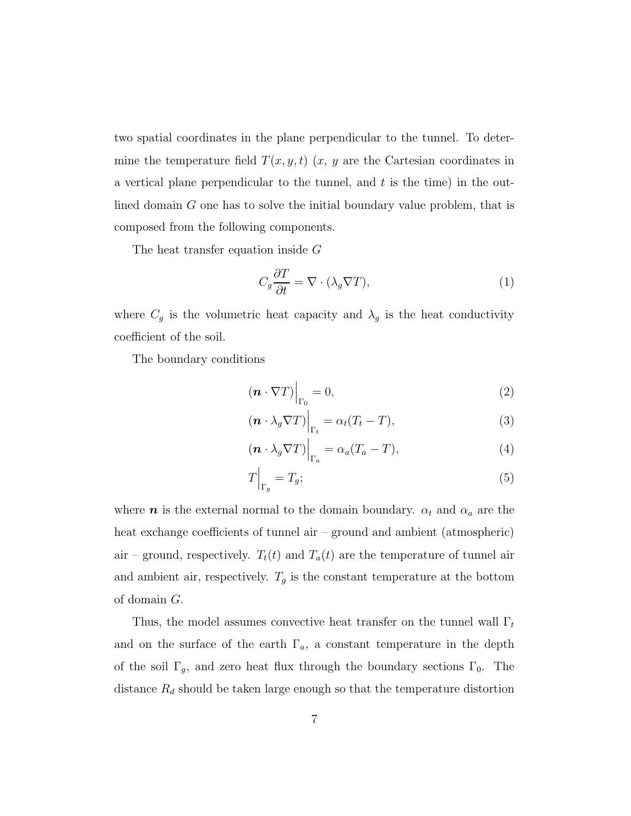two spatial coordinates in the plane perpendicular to the tunnel. To determine the temperature field  $T(x, y, t)$  (x, y are the Cartesian coordinates in a vertical plane perpendicular to the tunnel, and  $t$  is the time) in the outlined domain G one has to solve the initial boundary value problem, that is composed from the following components.

The heat transfer equation inside G

<span id="page-6-0"></span>
$$
C_g \frac{\partial T}{\partial t} = \nabla \cdot (\lambda_g \nabla T),\tag{1}
$$

where  $C_g$  is the volumetric heat capacity and  $\lambda_g$  is the heat conductivity coefficient of the soil.

The boundary conditions

<span id="page-6-1"></span>
$$
(\boldsymbol{n} \cdot \nabla T)\Big|_{\Gamma_0} = 0,\tag{2}
$$

$$
(\boldsymbol{n} \cdot \lambda_g \nabla T) \Big|_{\Gamma_t} = \alpha_t (T_t - T), \tag{3}
$$

$$
(\boldsymbol{n} \cdot \lambda_g \nabla T) \Big|_{\Gamma_a} = \alpha_a (T_a - T), \tag{4}
$$

$$
T\Big|_{\Gamma_g} = T_g;\tag{5}
$$

where **n** is the external normal to the domain boundary.  $\alpha_t$  and  $\alpha_a$  are the heat exchange coefficients of tunnel air – ground and ambient (atmospheric) air – ground, respectively.  $T_t(t)$  and  $T_a(t)$  are the temperature of tunnel air and ambient air, respectively.  $T_g$  is the constant temperature at the bottom of domain G.

Thus, the model assumes convective heat transfer on the tunnel wall  $\Gamma_t$ and on the surface of the earth  $\Gamma_a$ , a constant temperature in the depth of the soil  $\Gamma_g$ , and zero heat flux through the boundary sections  $\Gamma_0$ . The distance  $R_d$  should be taken large enough so that the temperature distortion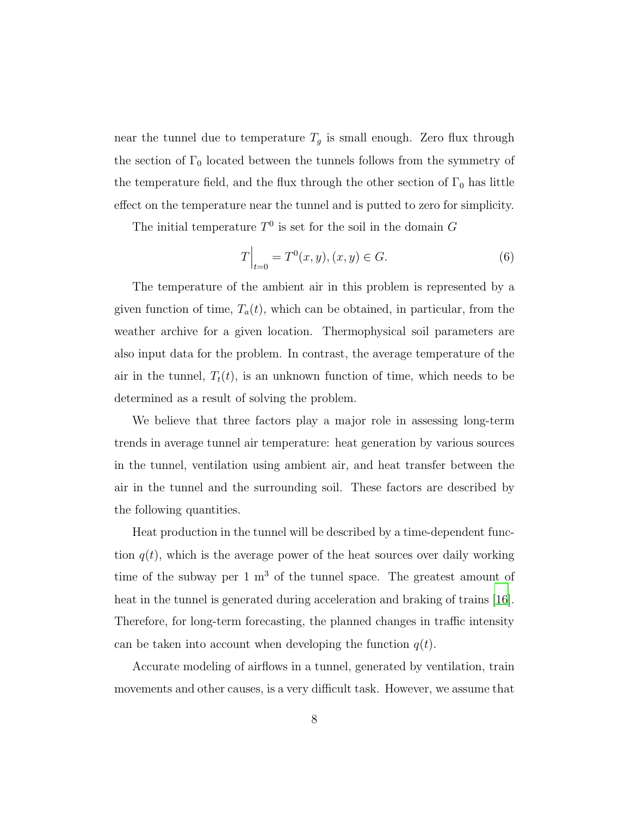near the tunnel due to temperature  $T_g$  is small enough. Zero flux through the section of  $\Gamma_0$  located between the tunnels follows from the symmetry of the temperature field, and the flux through the other section of  $\Gamma_0$  has little effect on the temperature near the tunnel and is putted to zero for simplicity.

The initial temperature  $T^0$  is set for the soil in the domain G

<span id="page-7-0"></span>
$$
T\Big|_{t=0} = T^{0}(x, y), (x, y) \in G.
$$
 (6)

The temperature of the ambient air in this problem is represented by a given function of time,  $T_a(t)$ , which can be obtained, in particular, from the weather archive for a given location. Thermophysical soil parameters are also input data for the problem. In contrast, the average temperature of the air in the tunnel,  $T_t(t)$ , is an unknown function of time, which needs to be determined as a result of solving the problem.

We believe that three factors play a major role in assessing long-term trends in average tunnel air temperature: heat generation by various sources in the tunnel, ventilation using ambient air, and heat transfer between the air in the tunnel and the surrounding soil. These factors are described by the following quantities.

Heat production in the tunnel will be described by a time-dependent function  $q(t)$ , which is the average power of the heat sources over daily working time of the subway per  $1 \text{ m}^3$  of the tunnel space. The greatest amount of heat in the tunnel is generated during acceleration and braking of trains [\[16\]](#page-27-2). Therefore, for long-term forecasting, the planned changes in traffic intensity can be taken into account when developing the function  $q(t)$ .

Accurate modeling of airflows in a tunnel, generated by ventilation, train movements and other causes, is a very difficult task. However, we assume that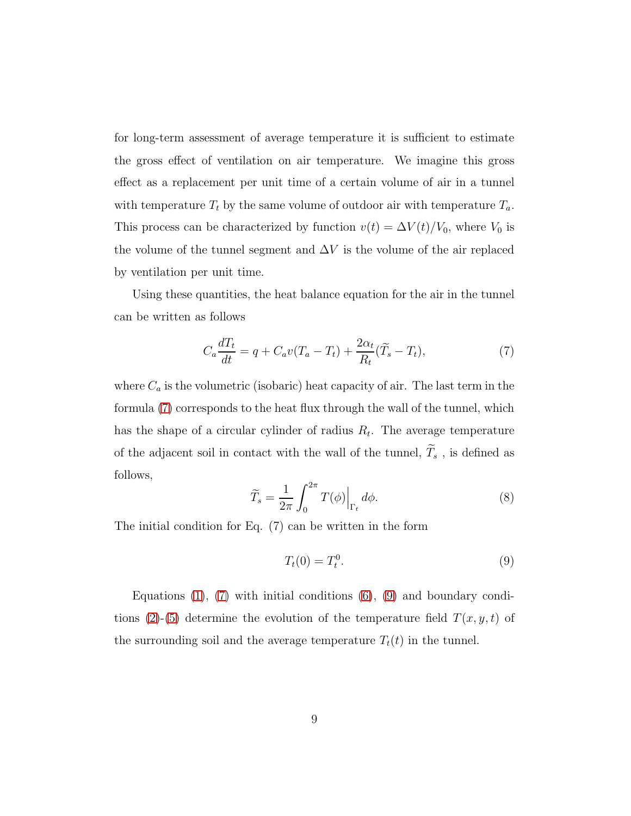for long-term assessment of average temperature it is sufficient to estimate the gross effect of ventilation on air temperature. We imagine this gross effect as a replacement per unit time of a certain volume of air in a tunnel with temperature  $T_t$  by the same volume of outdoor air with temperature  $T_a$ . This process can be characterized by function  $v(t) = \Delta V(t)/V_0$ , where  $V_0$  is the volume of the tunnel segment and  $\Delta V$  is the volume of the air replaced by ventilation per unit time.

Using these quantities, the heat balance equation for the air in the tunnel can be written as follows

<span id="page-8-0"></span>
$$
C_a \frac{dT_t}{dt} = q + C_a v (T_a - T_t) + \frac{2\alpha_t}{R_t} (\widetilde{T}_s - T_t), \tag{7}
$$

where  $C_a$  is the volumetric (isobaric) heat capacity of air. The last term in the formula [\(7\)](#page-8-0) corresponds to the heat flux through the wall of the tunnel, which has the shape of a circular cylinder of radius  $R_t$ . The average temperature of the adjacent soil in contact with the wall of the tunnel,  $\widetilde{T}_{s}$  , is defined as follows,

<span id="page-8-2"></span>
$$
\widetilde{T}_s = \frac{1}{2\pi} \int_0^{2\pi} T(\phi) \Big|_{\Gamma_t} d\phi.
$$
\n(8)

The initial condition for Eq. (7) can be written in the form

<span id="page-8-1"></span>
$$
T_t(0) = T_t^0. \tag{9}
$$

Equations  $(1)$ ,  $(7)$  with initial conditions  $(6)$ ,  $(9)$  and boundary condi-tions [\(2\)](#page-6-1)-[\(5\)](#page-6-1) determine the evolution of the temperature field  $T(x, y, t)$  of the surrounding soil and the average temperature  $T_t(t)$  in the tunnel.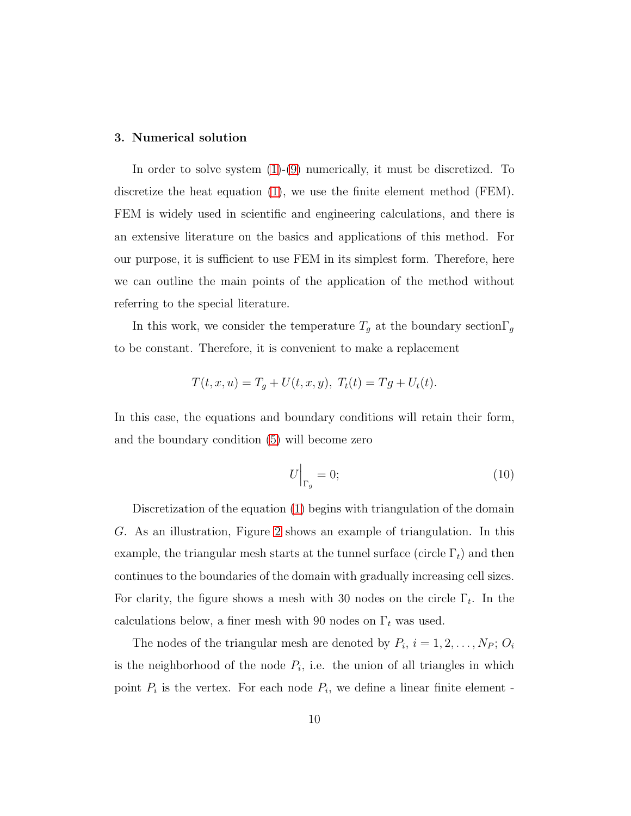#### 3. Numerical solution

In order to solve system [\(1\)](#page-6-0)-[\(9\)](#page-8-1) numerically, it must be discretized. To discretize the heat equation [\(1\)](#page-6-0), we use the finite element method (FEM). FEM is widely used in scientific and engineering calculations, and there is an extensive literature on the basics and applications of this method. For our purpose, it is sufficient to use FEM in its simplest form. Therefore, here we can outline the main points of the application of the method without referring to the special literature.

In this work, we consider the temperature  $T_g$  at the boundary section  $\Gamma_g$ to be constant. Therefore, it is convenient to make a replacement

$$
T(t, x, u) = T_g + U(t, x, y), T_t(t) = Tg + U_t(t).
$$

In this case, the equations and boundary conditions will retain their form, and the boundary condition [\(5\)](#page-6-1) will become zero

<span id="page-9-0"></span>
$$
U\Big|_{\Gamma_g} = 0;\t\t(10)
$$

Discretization of the equation [\(1\)](#page-6-0) begins with triangulation of the domain G. As an illustration, Figure [2](#page-10-0) shows an example of triangulation. In this example, the triangular mesh starts at the tunnel surface (circle  $\Gamma_t$ ) and then continues to the boundaries of the domain with gradually increasing cell sizes. For clarity, the figure shows a mesh with 30 nodes on the circle  $\Gamma_t$ . In the calculations below, a finer mesh with 90 nodes on  $\Gamma_t$  was used.

The nodes of the triangular mesh are denoted by  $P_i$ ,  $i = 1, 2, ..., N_P$ ;  $O_i$ is the neighborhood of the node  $P_i$ , i.e. the union of all triangles in which point  $P_i$  is the vertex. For each node  $P_i$ , we define a linear finite element -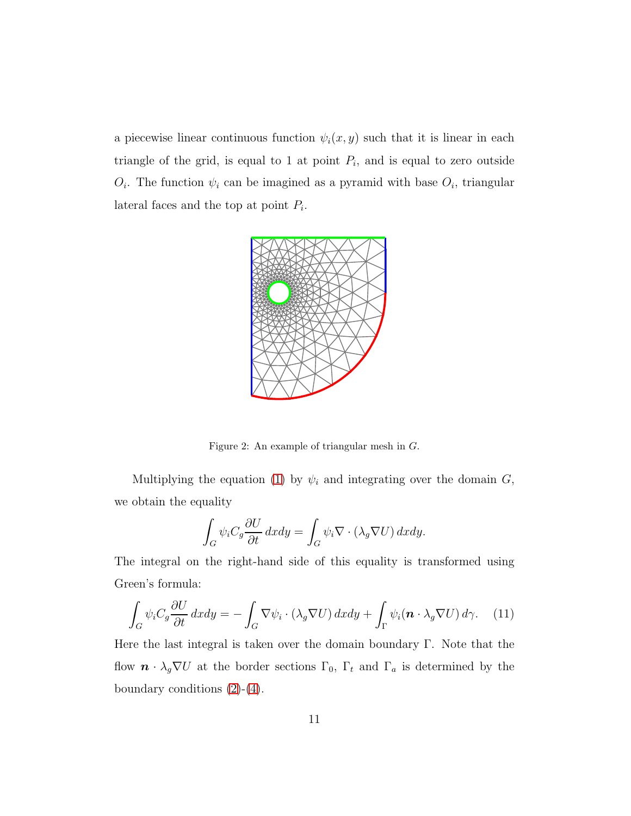a piecewise linear continuous function  $\psi_i(x, y)$  such that it is linear in each triangle of the grid, is equal to 1 at point  $P_i$ , and is equal to zero outside  $O_i$ . The function  $\psi_i$  can be imagined as a pyramid with base  $O_i$ , triangular lateral faces and the top at point  $P_i$ .



<span id="page-10-0"></span>Figure 2: An example of triangular mesh in G.

Multiplying the equation [\(1\)](#page-6-0) by  $\psi_i$  and integrating over the domain  $G$ , we obtain the equality

$$
\int_G \psi_i C_g \frac{\partial U}{\partial t} dx dy = \int_G \psi_i \nabla \cdot (\lambda_g \nabla U) dx dy.
$$

The integral on the right-hand side of this equality is transformed using Green's formula:

<span id="page-10-1"></span>
$$
\int_{G} \psi_{i} C_{g} \frac{\partial U}{\partial t} dx dy = -\int_{G} \nabla \psi_{i} \cdot (\lambda_{g} \nabla U) dx dy + \int_{\Gamma} \psi_{i} (\mathbf{n} \cdot \lambda_{g} \nabla U) d\gamma.
$$
 (11)

Here the last integral is taken over the domain boundary Γ. Note that the flow  $\mathbf{n} \cdot \lambda_g \nabla U$  at the border sections  $\Gamma_0$ ,  $\Gamma_t$  and  $\Gamma_a$  is determined by the boundary conditions  $(2)-(4)$  $(2)-(4)$ .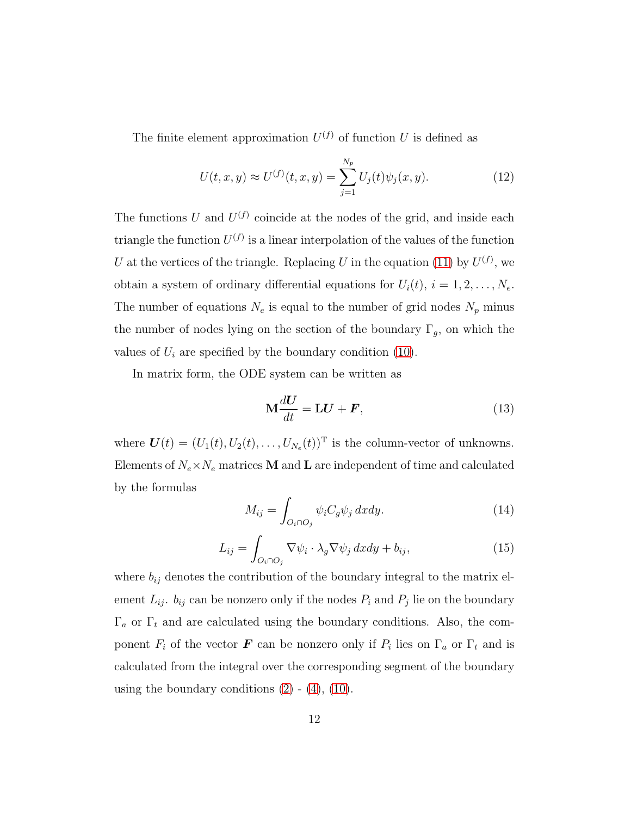The finite element approximation  $U^{(f)}$  of function U is defined as

<span id="page-11-0"></span>
$$
U(t, x, y) \approx U^{(f)}(t, x, y) = \sum_{j=1}^{N_p} U_j(t)\psi_j(x, y).
$$
 (12)

The functions U and  $U^{(f)}$  coincide at the nodes of the grid, and inside each triangle the function  $U^{(f)}$  is a linear interpolation of the values of the function U at the vertices of the triangle. Replacing U in the equation [\(11\)](#page-10-1) by  $U^{(f)}$ , we obtain a system of ordinary differential equations for  $U_i(t)$ ,  $i = 1, 2, \ldots, N_e$ . The number of equations  $N_e$  is equal to the number of grid nodes  $N_p$  minus the number of nodes lying on the section of the boundary  $\Gamma_g$ , on which the values of  $U_i$  are specified by the boundary condition [\(10\)](#page-9-0).

In matrix form, the ODE system can be written as

<span id="page-11-1"></span>
$$
\mathbf{M}\frac{d\mathbf{U}}{dt} = \mathbf{L}\mathbf{U} + \mathbf{F},\tag{13}
$$

where  $\boldsymbol{U}(t) = (U_1(t), U_2(t), \dots, U_{N_e}(t))^{\text{T}}$  is the column-vector of unknowns. Elements of  $N_e \times N_e$  matrices **M** and **L** are independent of time and calculated by the formulas

<span id="page-11-2"></span>
$$
M_{ij} = \int_{O_i \cap O_j} \psi_i C_g \psi_j \, dxdy. \tag{14}
$$

$$
L_{ij} = \int_{O_i \cap O_j} \nabla \psi_i \cdot \lambda_g \nabla \psi_j \, dx dy + b_{ij}, \qquad (15)
$$

where  $b_{ij}$  denotes the contribution of the boundary integral to the matrix element  $L_{ij}$ .  $b_{ij}$  can be nonzero only if the nodes  $P_i$  and  $P_j$  lie on the boundary  $\Gamma_a$  or  $\Gamma_t$  and are calculated using the boundary conditions. Also, the component  $F_i$  of the vector **F** can be nonzero only if  $P_i$  lies on  $\Gamma_a$  or  $\Gamma_t$  and is calculated from the integral over the corresponding segment of the boundary using the boundary conditions  $(2)$  -  $(4)$ ,  $(10)$ .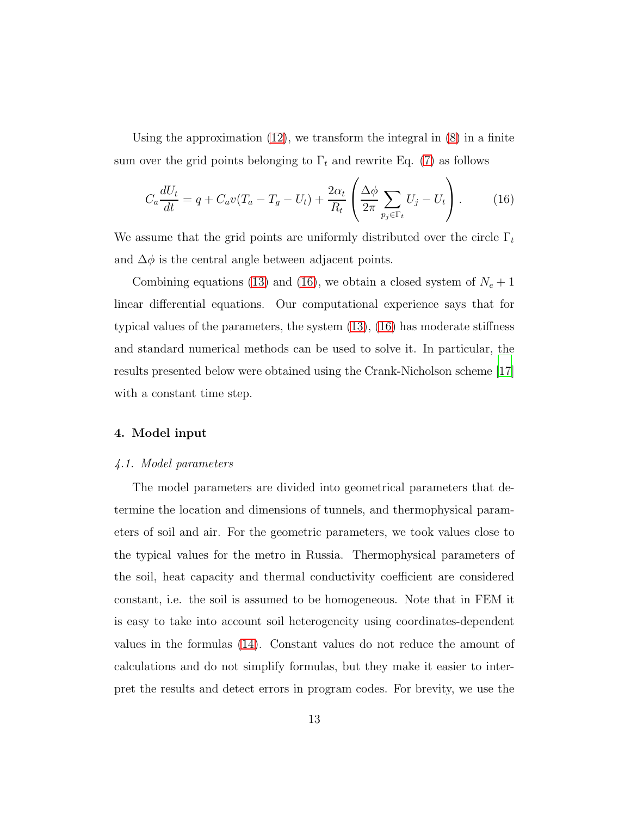Using the approximation [\(12\)](#page-11-0), we transform the integral in [\(8\)](#page-8-2) in a finite sum over the grid points belonging to  $\Gamma_t$  and rewrite Eq. [\(7\)](#page-8-0) as follows

<span id="page-12-0"></span>
$$
C_a \frac{dU_t}{dt} = q + C_a v (T_a - T_g - U_t) + \frac{2\alpha_t}{R_t} \left( \frac{\Delta \phi}{2\pi} \sum_{p_j \in \Gamma_t} U_j - U_t \right). \tag{16}
$$

We assume that the grid points are uniformly distributed over the circle  $\Gamma_t$ and  $\Delta \phi$  is the central angle between adjacent points.

Combining equations [\(13\)](#page-11-1) and [\(16\)](#page-12-0), we obtain a closed system of  $N_e + 1$ linear differential equations. Our computational experience says that for typical values of the parameters, the system [\(13\)](#page-11-1), [\(16\)](#page-12-0) has moderate stiffness and standard numerical methods can be used to solve it. In particular, the results presented below were obtained using the Crank-Nicholson scheme [\[17](#page-27-3)] with a constant time step.

#### 4. Model input

#### *4.1. Model parameters*

The model parameters are divided into geometrical parameters that determine the location and dimensions of tunnels, and thermophysical parameters of soil and air. For the geometric parameters, we took values close to the typical values for the metro in Russia. Thermophysical parameters of the soil, heat capacity and thermal conductivity coefficient are considered constant, i.e. the soil is assumed to be homogeneous. Note that in FEM it is easy to take into account soil heterogeneity using coordinates-dependent values in the formulas [\(14\)](#page-11-2). Constant values do not reduce the amount of calculations and do not simplify formulas, but they make it easier to interpret the results and detect errors in program codes. For brevity, we use the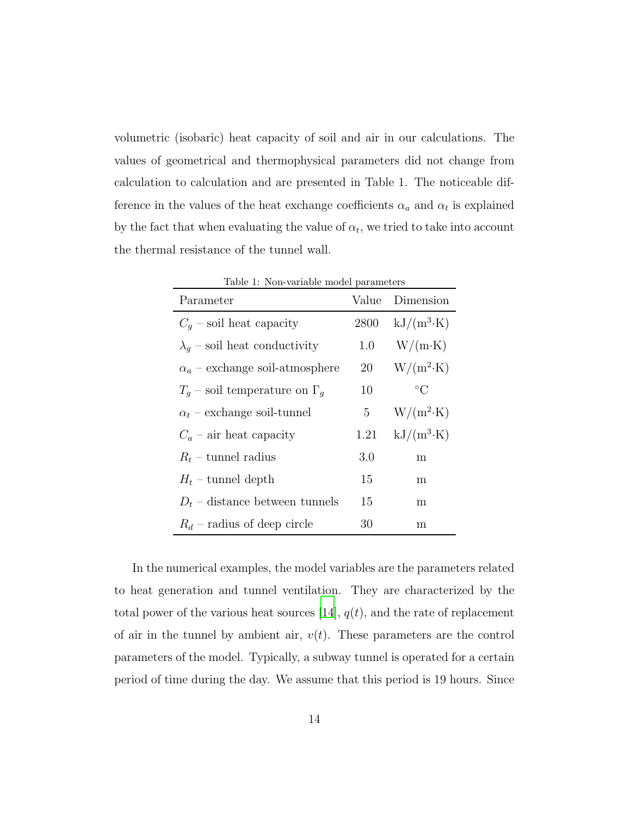volumetric (isobaric) heat capacity of soil and air in our calculations. The values of geometrical and thermophysical parameters did not change from calculation to calculation and are presented in Table 1. The noticeable difference in the values of the heat exchange coefficients  $\alpha_a$  and  $\alpha_t$  is explained by the fact that when evaluating the value of  $\alpha_t$ , we tried to take into account the thermal resistance of the tunnel wall.

| Table 1: Non-variable model parameters |       |                    |
|----------------------------------------|-------|--------------------|
| Parameter                              | Value | Dimension          |
| $C_q$ – soil heat capacity             | 2800  | $kJ/(m^3 \cdot K)$ |
| $\lambda_q$ – soil heat conductivity   | 1.0   | $W/(m \cdot K)$    |
| $\alpha_a$ – exchange soil-atmosphere  | 20    | $W/(m^2 \cdot K)$  |
| $T_q$ – soil temperature on $\Gamma_q$ | 10    | $\circ$ C          |
| $\alpha_t$ – exchange soil-tunnel      | 5     | $W/(m^2 \cdot K)$  |
| $C_a$ – air heat capacity              | 1.21  | $kJ/(m^3 \cdot K)$ |
| $R_t$ – tunnel radius                  | 3.0   | m                  |
| $H_t$ – tunnel depth                   | 15    | m                  |
| $D_t$ – distance between tunnels       | 15    | m                  |
| $R_d$ – radius of deep circle          | 30    | m                  |

In the numerical examples, the model variables are the parameters related to heat generation and tunnel ventilation. They are characterized by the total power of the various heat sources [\[14](#page-27-0)],  $q(t)$ , and the rate of replacement of air in the tunnel by ambient air,  $v(t)$ . These parameters are the control parameters of the model. Typically, a subway tunnel is operated for a certain period of time during the day. We assume that this period is 19 hours. Since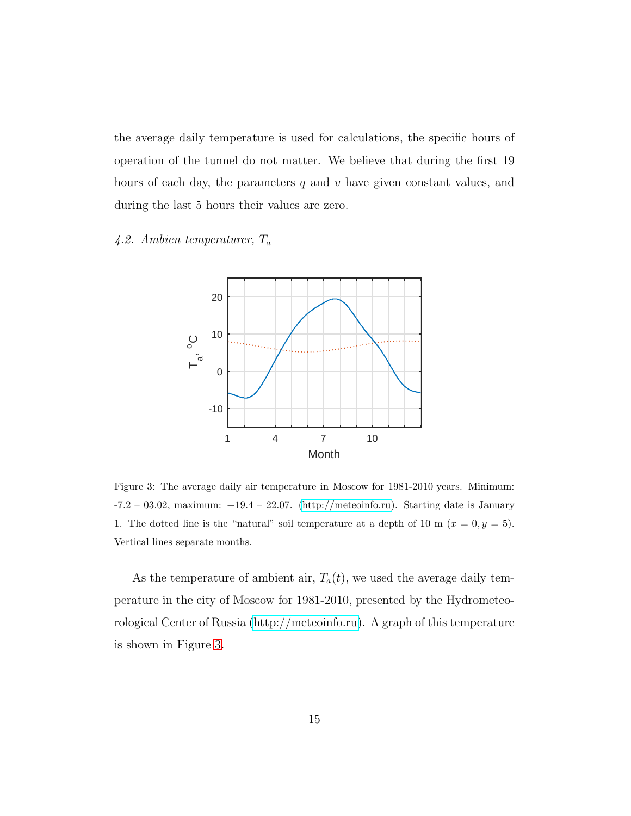the average daily temperature is used for calculations, the specific hours of operation of the tunnel do not matter. We believe that during the first 19 hours of each day, the parameters q and  $v$  have given constant values, and during the last 5 hours their values are zero.

# *4.2. Ambien temperaturer,* T<sup>a</sup>



<span id="page-14-0"></span>Figure 3: The average daily air temperature in Moscow for 1981-2010 years. Minimum:  $-7.2 - 03.02$ , maximum:  $+19.4 - 22.07$ . [\(http://meteoinfo.ru\)](http://meteoinfo.ru). Starting date is January 1. The dotted line is the "natural" soil temperature at a depth of 10 m  $(x = 0, y = 5)$ . Vertical lines separate months.

As the temperature of ambient air,  $T_a(t)$ , we used the average daily temperature in the city of Moscow for 1981-2010, presented by the Hydrometeorological Center of Russia [\(http://meteoinfo.ru\)](http://meteoinfo.ru). A graph of this temperature is shown in Figure [3.](#page-14-0)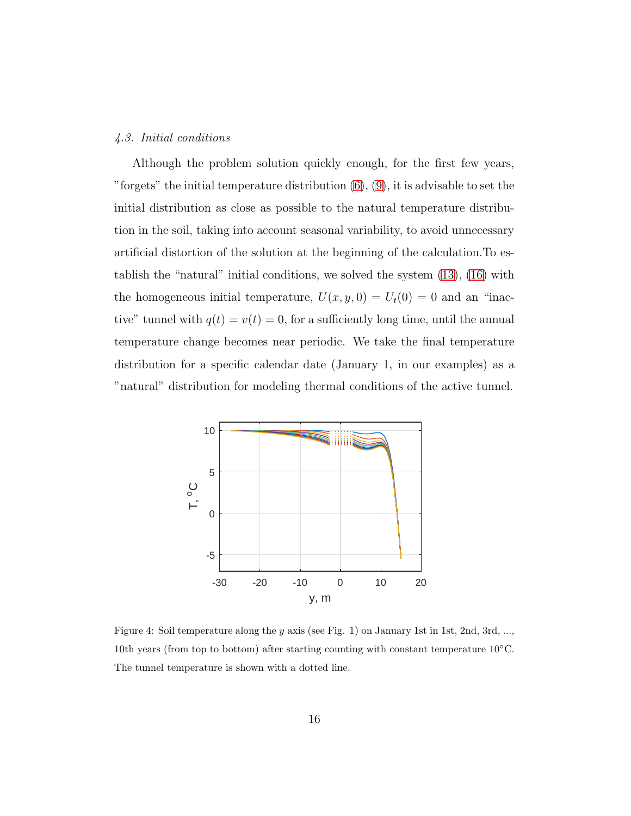#### *4.3. Initial conditions*

Although the problem solution quickly enough, for the first few years, "forgets" the initial temperature distribution  $(6)$ ,  $(9)$ , it is advisable to set the initial distribution as close as possible to the natural temperature distribution in the soil, taking into account seasonal variability, to avoid unnecessary artificial distortion of the solution at the beginning of the calculation.To establish the "natural" initial conditions, we solved the system [\(13\)](#page-11-1), [\(16\)](#page-12-0) with the homogeneous initial temperature,  $U(x, y, 0) = U_t(0) = 0$  and an "inactive" tunnel with  $q(t) = v(t) = 0$ , for a sufficiently long time, until the annual temperature change becomes near periodic. We take the final temperature distribution for a specific calendar date (January 1, in our examples) as a "natural" distribution for modeling thermal conditions of the active tunnel.



<span id="page-15-0"></span>Figure 4: Soil temperature along the y axis (see Fig. 1) on January 1st in 1st, 2nd, 3rd, ..., 10th years (from top to bottom) after starting counting with constant temperature  $10^{\circ}$ C. The tunnel temperature is shown with a dotted line.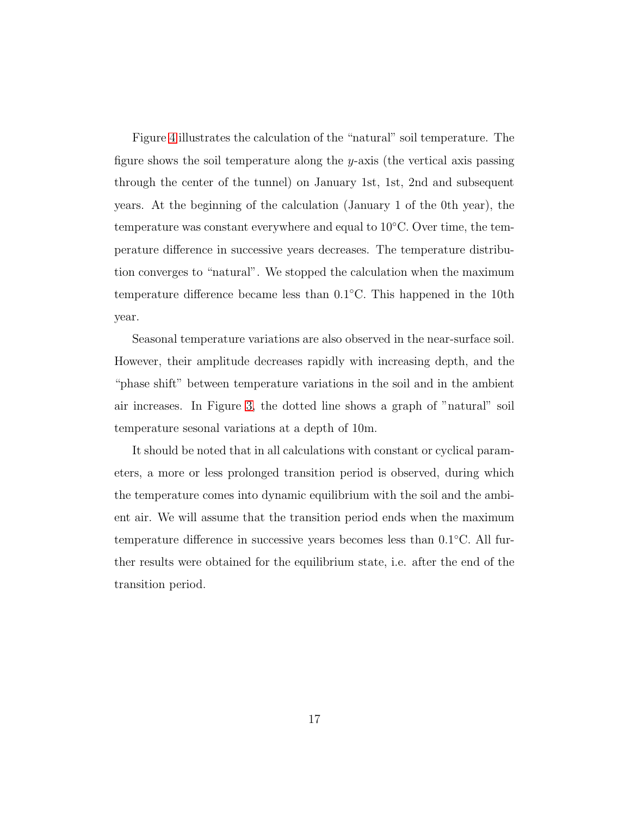Figure [4](#page-15-0) illustrates the calculation of the "natural" soil temperature. The figure shows the soil temperature along the y-axis (the vertical axis passing through the center of the tunnel) on January 1st, 1st, 2nd and subsequent years. At the beginning of the calculation (January 1 of the 0th year), the temperature was constant everywhere and equal to 10◦C. Over time, the temperature difference in successive years decreases. The temperature distribution converges to "natural". We stopped the calculation when the maximum temperature difference became less than 0.1◦C. This happened in the 10th year.

Seasonal temperature variations are also observed in the near-surface soil. However, their amplitude decreases rapidly with increasing depth, and the "phase shift" between temperature variations in the soil and in the ambient air increases. In Figure [3,](#page-14-0) the dotted line shows a graph of "natural" soil temperature sesonal variations at a depth of 10m.

It should be noted that in all calculations with constant or cyclical parameters, a more or less prolonged transition period is observed, during which the temperature comes into dynamic equilibrium with the soil and the ambient air. We will assume that the transition period ends when the maximum temperature difference in successive years becomes less than 0.1◦C. All further results were obtained for the equilibrium state, i.e. after the end of the transition period.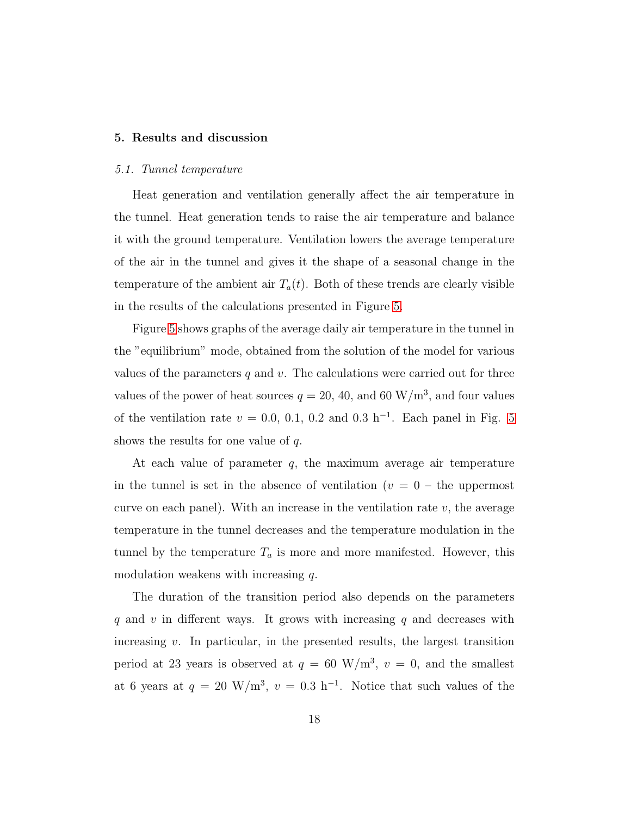#### 5. Results and discussion

#### *5.1. Tunnel temperature*

Heat generation and ventilation generally affect the air temperature in the tunnel. Heat generation tends to raise the air temperature and balance it with the ground temperature. Ventilation lowers the average temperature of the air in the tunnel and gives it the shape of a seasonal change in the temperature of the ambient air  $T_a(t)$ . Both of these trends are clearly visible in the results of the calculations presented in Figure [5.](#page-18-0)

Figure [5](#page-18-0) shows graphs of the average daily air temperature in the tunnel in the "equilibrium" mode, obtained from the solution of the model for various values of the parameters  $q$  and  $v$ . The calculations were carried out for three values of the power of heat sources  $q = 20, 40,$  and 60  $\rm W/m^3$ , and four values of the ventilation rate  $v = 0.0, 0.1, 0.2$  and  $0.3 h^{-1}$ . Each panel in Fig. [5](#page-18-0) shows the results for one value of q.

At each value of parameter  $q$ , the maximum average air temperature in the tunnel is set in the absence of ventilation ( $v = 0$  – the uppermost curve on each panel). With an increase in the ventilation rate  $v$ , the average temperature in the tunnel decreases and the temperature modulation in the tunnel by the temperature  $T_a$  is more and more manifested. However, this modulation weakens with increasing  $q$ .

The duration of the transition period also depends on the parameters q and v in different ways. It grows with increasing q and decreases with increasing  $v$ . In particular, in the presented results, the largest transition period at 23 years is observed at  $q = 60$  W/m<sup>3</sup>,  $v = 0$ , and the smallest at 6 years at  $q = 20$  W/m<sup>3</sup>,  $v = 0.3$  h<sup>-1</sup>. Notice that such values of the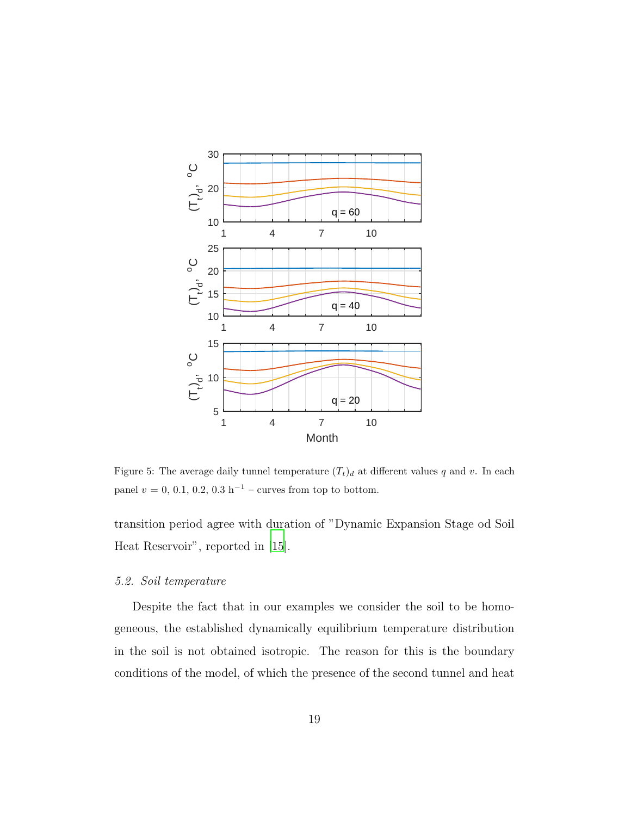

<span id="page-18-0"></span>Figure 5: The average daily tunnel temperature  $(T_t)_d$  at different values q and v. In each panel  $v = 0, 0.1, 0.2, 0.3 h^{-1}$  – curves from top to bottom.

transition period agree with duration of "Dynamic Expansion Stage od Soil Heat Reservoir", reported in [\[15\]](#page-27-1).

### *5.2. Soil temperature*

Despite the fact that in our examples we consider the soil to be homogeneous, the established dynamically equilibrium temperature distribution in the soil is not obtained isotropic. The reason for this is the boundary conditions of the model, of which the presence of the second tunnel and heat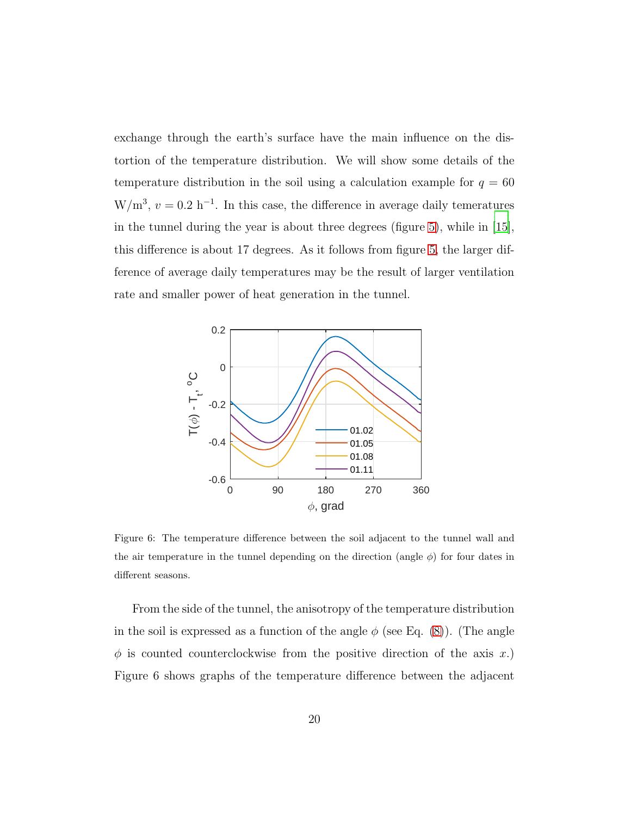exchange through the earth's surface have the main influence on the distortion of the temperature distribution. We will show some details of the temperature distribution in the soil using a calculation example for  $q = 60$  $W/m<sup>3</sup>$ ,  $v = 0.2 h<sup>-1</sup>$ . In this case, the difference in average daily temeratures in the tunnel during the year is about three degrees (figure [5\)](#page-18-0), while in [\[15\]](#page-27-1), this difference is about 17 degrees. As it follows from figure [5,](#page-18-0) the larger difference of average daily temperatures may be the result of larger ventilation rate and smaller power of heat generation in the tunnel.



Figure 6: The temperature difference between the soil adjacent to the tunnel wall and the air temperature in the tunnel depending on the direction (angle  $\phi$ ) for four dates in different seasons.

From the side of the tunnel, the anisotropy of the temperature distribution in the soil is expressed as a function of the angle  $\phi$  (see Eq. [\(8\)](#page-8-2)). (The angle  $\phi$  is counted counterclockwise from the positive direction of the axis x.) Figure 6 shows graphs of the temperature difference between the adjacent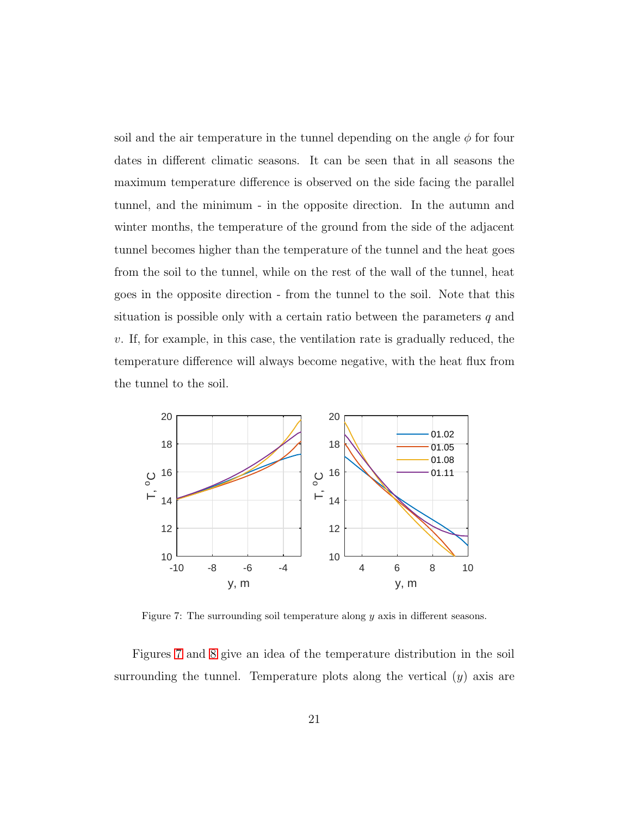soil and the air temperature in the tunnel depending on the angle  $\phi$  for four dates in different climatic seasons. It can be seen that in all seasons the maximum temperature difference is observed on the side facing the parallel tunnel, and the minimum - in the opposite direction. In the autumn and winter months, the temperature of the ground from the side of the adjacent tunnel becomes higher than the temperature of the tunnel and the heat goes from the soil to the tunnel, while on the rest of the wall of the tunnel, heat goes in the opposite direction - from the tunnel to the soil. Note that this situation is possible only with a certain ratio between the parameters  $q$  and v. If, for example, in this case, the ventilation rate is gradually reduced, the temperature difference will always become negative, with the heat flux from the tunnel to the soil.



<span id="page-20-0"></span>Figure 7: The surrounding soil temperature along y axis in different seasons.

Figures [7](#page-20-0) and [8](#page-21-0) give an idea of the temperature distribution in the soil surrounding the tunnel. Temperature plots along the vertical  $(y)$  axis are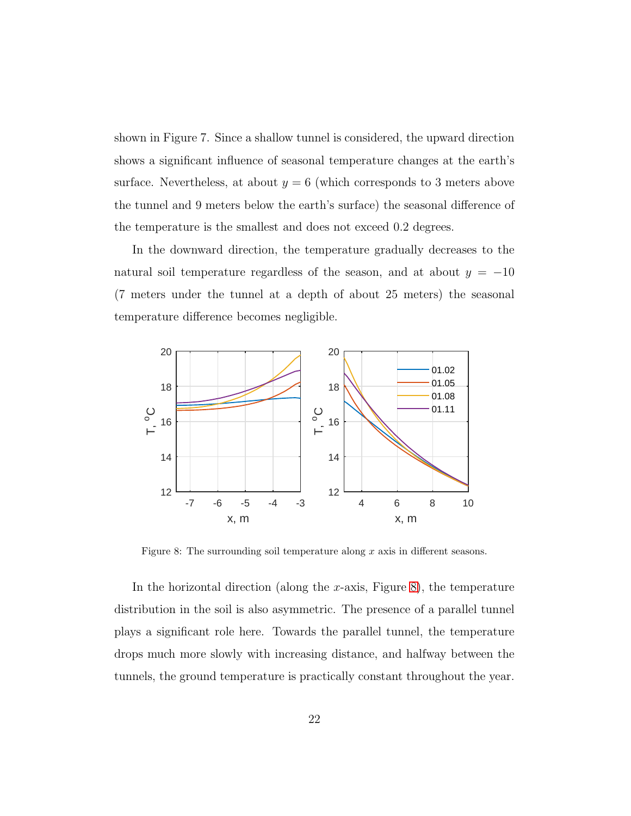shown in Figure 7. Since a shallow tunnel is considered, the upward direction shows a significant influence of seasonal temperature changes at the earth's surface. Nevertheless, at about  $y = 6$  (which corresponds to 3 meters above the tunnel and 9 meters below the earth's surface) the seasonal difference of the temperature is the smallest and does not exceed 0.2 degrees.

In the downward direction, the temperature gradually decreases to the natural soil temperature regardless of the season, and at about  $y = -10$ (7 meters under the tunnel at a depth of about 25 meters) the seasonal temperature difference becomes negligible.



<span id="page-21-0"></span>Figure 8: The surrounding soil temperature along  $x$  axis in different seasons.

In the horizontal direction (along the x-axis, Figure [8\)](#page-21-0), the temperature distribution in the soil is also asymmetric. The presence of a parallel tunnel plays a significant role here. Towards the parallel tunnel, the temperature drops much more slowly with increasing distance, and halfway between the tunnels, the ground temperature is practically constant throughout the year.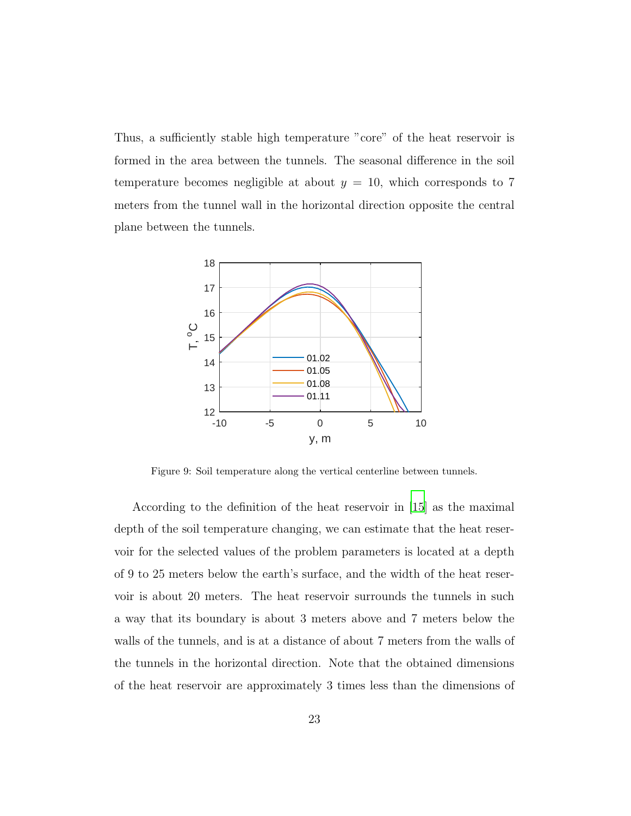Thus, a sufficiently stable high temperature "core" of the heat reservoir is formed in the area between the tunnels. The seasonal difference in the soil temperature becomes negligible at about  $y = 10$ , which corresponds to 7 meters from the tunnel wall in the horizontal direction opposite the central plane between the tunnels.



Figure 9: Soil temperature along the vertical centerline between tunnels.

According to the definition of the heat reservoir in [\[15\]](#page-27-1) as the maximal depth of the soil temperature changing, we can estimate that the heat reservoir for the selected values of the problem parameters is located at a depth of 9 to 25 meters below the earth's surface, and the width of the heat reservoir is about 20 meters. The heat reservoir surrounds the tunnels in such a way that its boundary is about 3 meters above and 7 meters below the walls of the tunnels, and is at a distance of about 7 meters from the walls of the tunnels in the horizontal direction. Note that the obtained dimensions of the heat reservoir are approximately 3 times less than the dimensions of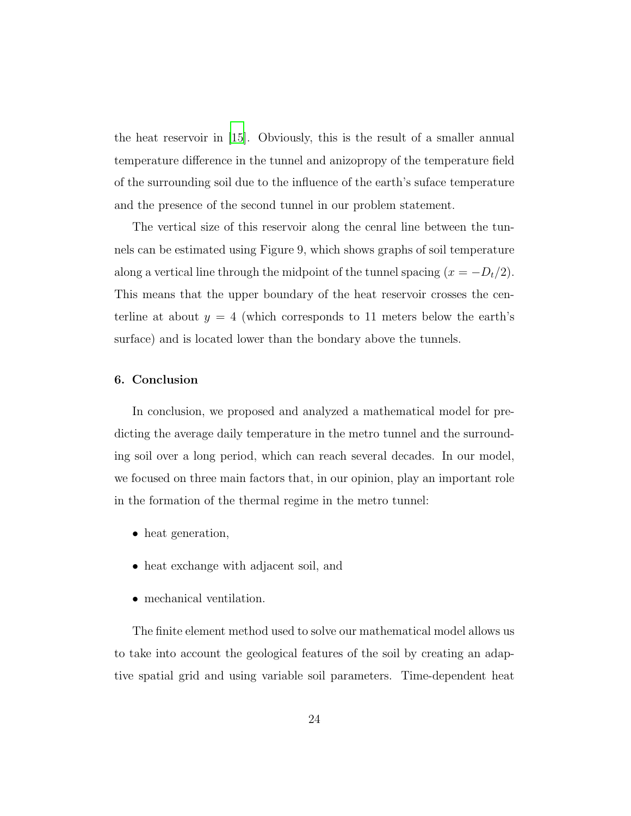the heat reservoir in [\[15](#page-27-1)]. Obviously, this is the result of a smaller annual temperature difference in the tunnel and anizopropy of the temperature field of the surrounding soil due to the influence of the earth's suface temperature and the presence of the second tunnel in our problem statement.

The vertical size of this reservoir along the cenral line between the tunnels can be estimated using Figure 9, which shows graphs of soil temperature along a vertical line through the midpoint of the tunnel spacing  $(x = -D_t/2)$ . This means that the upper boundary of the heat reservoir crosses the centerline at about  $y = 4$  (which corresponds to 11 meters below the earth's surface) and is located lower than the bondary above the tunnels.

# 6. Conclusion

In conclusion, we proposed and analyzed a mathematical model for predicting the average daily temperature in the metro tunnel and the surrounding soil over a long period, which can reach several decades. In our model, we focused on three main factors that, in our opinion, play an important role in the formation of the thermal regime in the metro tunnel:

- heat generation,
- heat exchange with adjacent soil, and
- mechanical ventilation.

The finite element method used to solve our mathematical model allows us to take into account the geological features of the soil by creating an adaptive spatial grid and using variable soil parameters. Time-dependent heat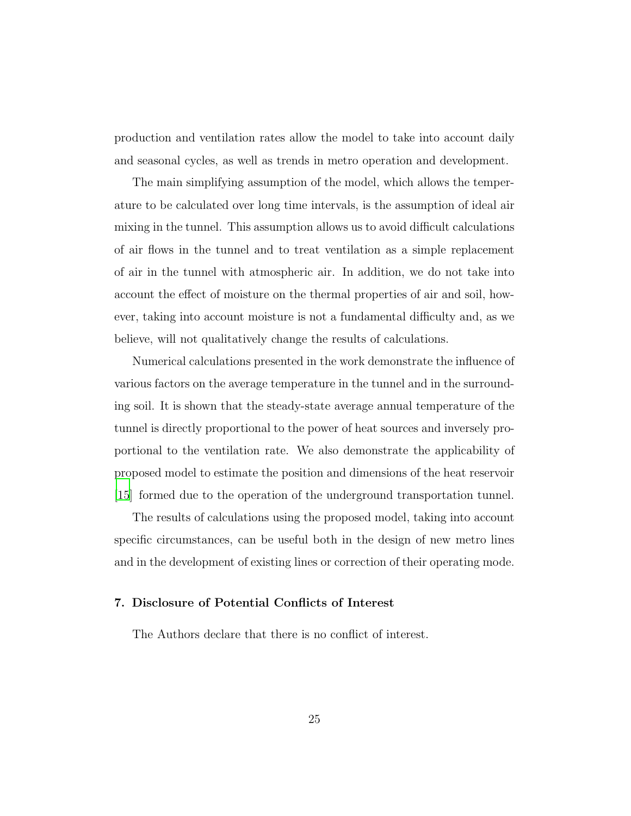production and ventilation rates allow the model to take into account daily and seasonal cycles, as well as trends in metro operation and development.

The main simplifying assumption of the model, which allows the temperature to be calculated over long time intervals, is the assumption of ideal air mixing in the tunnel. This assumption allows us to avoid difficult calculations of air flows in the tunnel and to treat ventilation as a simple replacement of air in the tunnel with atmospheric air. In addition, we do not take into account the effect of moisture on the thermal properties of air and soil, however, taking into account moisture is not a fundamental difficulty and, as we believe, will not qualitatively change the results of calculations.

Numerical calculations presented in the work demonstrate the influence of various factors on the average temperature in the tunnel and in the surrounding soil. It is shown that the steady-state average annual temperature of the tunnel is directly proportional to the power of heat sources and inversely proportional to the ventilation rate. We also demonstrate the applicability of proposed model to estimate the position and dimensions of the heat reservoir [\[15\]](#page-27-1) formed due to the operation of the underground transportation tunnel.

The results of calculations using the proposed model, taking into account specific circumstances, can be useful both in the design of new metro lines and in the development of existing lines or correction of their operating mode.

## 7. Disclosure of Potential Conflicts of Interest

The Authors declare that there is no conflict of interest.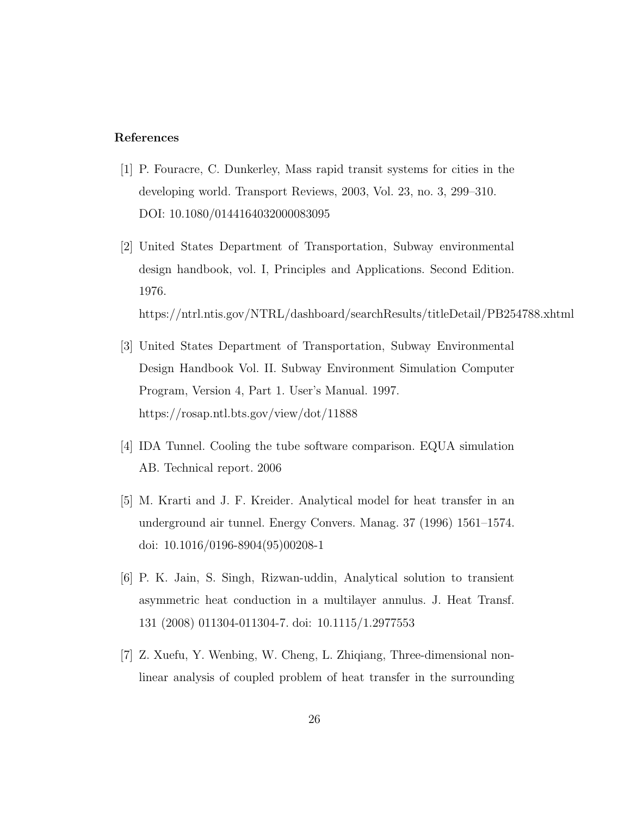#### References

- <span id="page-25-0"></span>[1] P. Fouracre, C. Dunkerley, Mass rapid transit systems for cities in the developing world. Transport Reviews, 2003, Vol. 23, no. 3, 299–310. DOI: 10.1080/0144164032000083095
- <span id="page-25-1"></span>[2] United States Department of Transportation, Subway environmental design handbook, vol. I, Principles and Applications. Second Edition. 1976. https://ntrl.ntis.gov/NTRL/dashboard/searchResults/titleDetail/PB254788.xhtml
- <span id="page-25-2"></span>[3] United States Department of Transportation, Subway Environmental Design Handbook Vol. II. Subway Environment Simulation Computer Program, Version 4, Part 1. User's Manual. 1997. https://rosap.ntl.bts.gov/view/dot/11888
- <span id="page-25-3"></span>[4] IDA Tunnel. Cooling the tube software comparison. EQUA simulation AB. Technical report. 2006
- <span id="page-25-4"></span>[5] M. Krarti and J. F. Kreider. Analytical model for heat transfer in an underground air tunnel. Energy Convers. Manag. 37 (1996) 1561–1574. doi: 10.1016/0196-8904(95)00208-1
- <span id="page-25-5"></span>[6] P. K. Jain, S. Singh, Rizwan-uddin, Analytical solution to transient asymmetric heat conduction in a multilayer annulus. J. Heat Transf. 131 (2008) 011304-011304-7. doi: 10.1115/1.2977553
- <span id="page-25-6"></span>[7] Z. Xuefu, Y. Wenbing, W. Cheng, L. Zhiqiang, Three-dimensional nonlinear analysis of coupled problem of heat transfer in the surrounding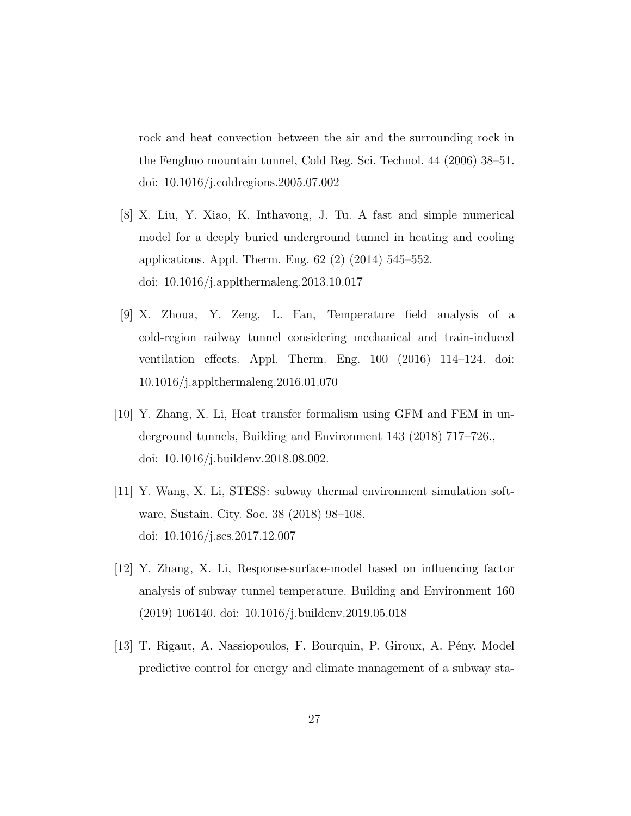rock and heat convection between the air and the surrounding rock in the Fenghuo mountain tunnel, Cold Reg. Sci. Technol. 44 (2006) 38–51. doi: 10.1016/j.coldregions.2005.07.002

- <span id="page-26-0"></span>[8] X. Liu, Y. Xiao, K. Inthavong, J. Tu. A fast and simple numerical model for a deeply buried underground tunnel in heating and cooling applications. Appl. Therm. Eng. 62 (2) (2014) 545–552. doi: 10.1016/j.applthermaleng.2013.10.017
- <span id="page-26-1"></span>[9] X. Zhoua, Y. Zeng, L. Fan, Temperature field analysis of a cold-region railway tunnel considering mechanical and train-induced ventilation effects. Appl. Therm. Eng. 100 (2016) 114–124. doi: 10.1016/j.applthermaleng.2016.01.070
- <span id="page-26-2"></span>[10] Y. Zhang, X. Li, Heat transfer formalism using GFM and FEM in underground tunnels, Building and Environment 143 (2018) 717–726., doi: 10.1016/j.buildenv.2018.08.002.
- <span id="page-26-3"></span>[11] Y. Wang, X. Li, STESS: subway thermal environment simulation software, Sustain. City. Soc. 38 (2018) 98–108. doi: 10.1016/j.scs.2017.12.007
- <span id="page-26-4"></span>[12] Y. Zhang, X. Li, Response-surface-model based on influencing factor analysis of subway tunnel temperature. Building and Environment 160 (2019) 106140. doi: 10.1016/j.buildenv.2019.05.018
- <span id="page-26-5"></span>[13] T. Rigaut, A. Nassiopoulos, F. Bourquin, P. Giroux, A. Pény. Model predictive control for energy and climate management of a subway sta-